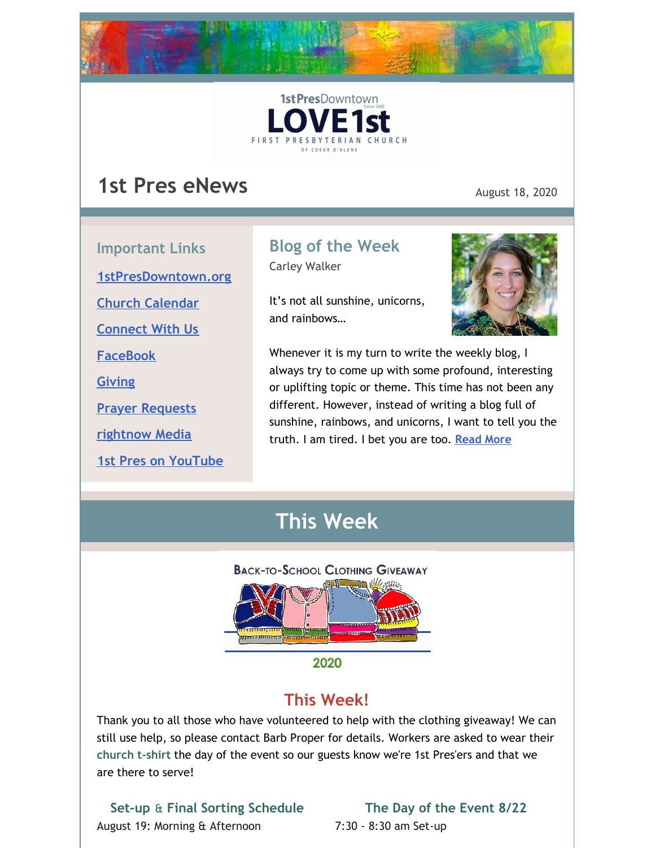



# **1st Pres eNews** August 18, 2020

**Important Links [1stPresDowntown.org](http://www.1stpresdowntown.org/) Church [Calendar](http://www.1stpresdowntown.org/calendar/) [Connect](https://www.1stpresdowntown.org/connect-with-us.html) With Us [FaceBook](https://www.facebook.com/cdadowntownchurch/) [Giving](https://www.eservicepayments.com/cgi-bin/Vanco_ver3.vps?appver3=Fi1giPL8kwX_Oe1AO50jRhFtjI3jPush-TiV_cWeMqos4NSQukCYDzKLUtTTUlsf2EvVVAEjqawDomKT1pbouWbIw4yEvEZZftNOfs1-eIM%3D&ver=3) Prayer [Requests](https://www.1stpresdowntown.org/prayer-request.html) [rightnow](https://accounts.rightnowmedia.org/Account/Invite/FirstPresDowntown?returnUrl=https://www.rightnowmedia.org/Account/Media/InviteReturn) Media**

### **1st Pres on [YouTube](https://www.youtube.com/channel/UCCfruZriuZfS2hVar79nXbQ)**

## **Blog of the Week**

Carley Walker

It's not all sunshine, unicorns, and rainbows…



Whenever it is my turn to write the weekly blog, I always try to come up with some profound, interesting or uplifting topic or theme. This time has not been any different. However, instead of writing a blog full of sunshine, rainbows, and unicorns, I want to tell you the truth. I am tired. I bet you are too. **[Read](https://www.1stpresdowntown.org/blog/its-not-all-sunshine-unicorns-and-rainbows) More**

## **This Week**



# **This Week!**

Thank you to all those who have volunteered to help with the clothing giveaway! We can still use help, so please contact Barb Proper for details. Workers are asked to wear their **church t-shirt** the day of the event so our guests know we're 1st Pres'ers and that we are there to serve!

**Set-up** & **Final Sorting Schedule** August 19: Morning & Afternoon

### **The Day of the Event 8/22**

7:30 - 8:30 am Set-up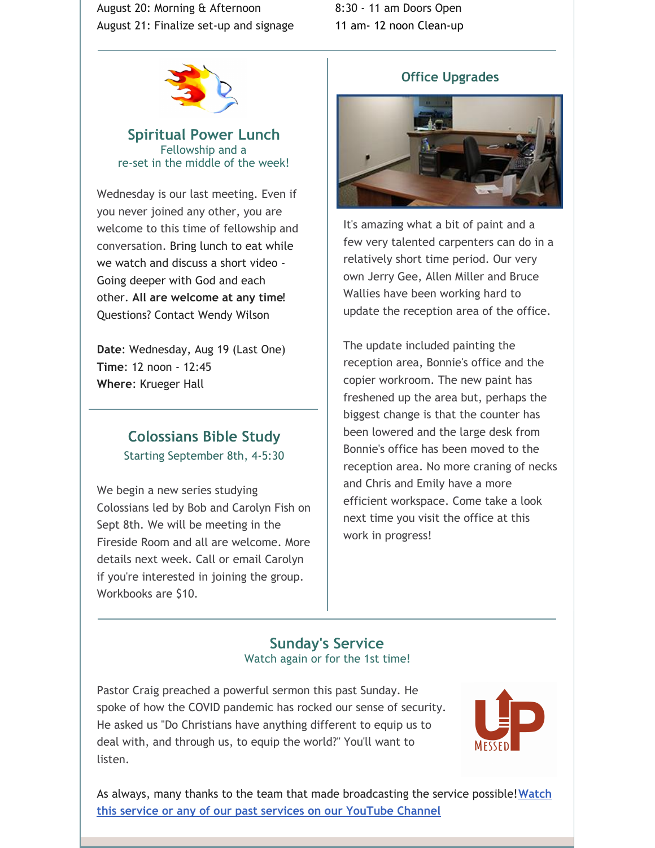August 20: Morning & Afternoon August 21: Finalize set-up and signage





**Spiritual Power Lunch** Fellowship and a re-set in the middle of the week!

Wednesday is our last meeting. Even if you never joined any other, you are welcome to this time of fellowship and conversation. Bring lunch to eat while we watch and discuss a short video - Going deeper with God and each other. **All are welcome at any time**! Questions? Contact Wendy Wilson

**Date**: Wednesday, Aug 19 (Last One) **Time**: 12 noon - 12:45 **Where**: Krueger Hall

## **Colossians Bible Study** Starting September 8th, 4-5:30

We begin a new series studying Colossians led by Bob and Carolyn Fish on Sept 8th. We will be meeting in the Fireside Room and all are welcome. More details next week. Call or email Carolyn if you're interested in joining the group. Workbooks are \$10.

### **Office Upgrades**



It's amazing what a bit of paint and a few very talented carpenters can do in a relatively short time period. Our very own Jerry Gee, Allen Miller and Bruce Wallies have been working hard to update the reception area of the office.

The update included painting the reception area, Bonnie's office and the copier workroom. The new paint has freshened up the area but, perhaps the biggest change is that the counter has been lowered and the large desk from Bonnie's office has been moved to the reception area. No more craning of necks and Chris and Emily have a more efficient workspace. Come take a look next time you visit the office at this work in progress!

### **Sunday's Service** Watch again or for the 1st time!

Pastor Craig preached a powerful sermon this past Sunday. He spoke of how the COVID pandemic has rocked our sense of security. He asked us "Do Christians have anything different to equip us to deal with, and through us, to equip the world?" You'll want to listen.



As always, many thanks to the team that made [broadcasting](http://r20.rs6.net/tn.jsp?f=001TAEhPUeQXKS9PqOcukkRsNWUgGUBHZ7_nsdteClYMruoiLz1t14TsRr7UTt-UexyP7z8jFaaIPKIpT969G_ZUIkYi5mYoaY3H9bWFO_7npHXgu-wj68OzdnwykJslgohuottq9rPNR3w65MF7RkVXiqP9csz0dJjjE9juxHUxnD7AALW2Znqj4jNvmwW1hgb&c=xj6uxv4Ure-jLmebrsiWHqZgofQxk1jiFOFxtq_GIS985IIRxfa2wg==&ch=yLb4idgMcf26VkL_Lc86HYFK_5hMVavweuM2KPPMNNX6Iob9yt8sLA==) the service possible!**Watch this service or any of our past services on our YouTube Channel**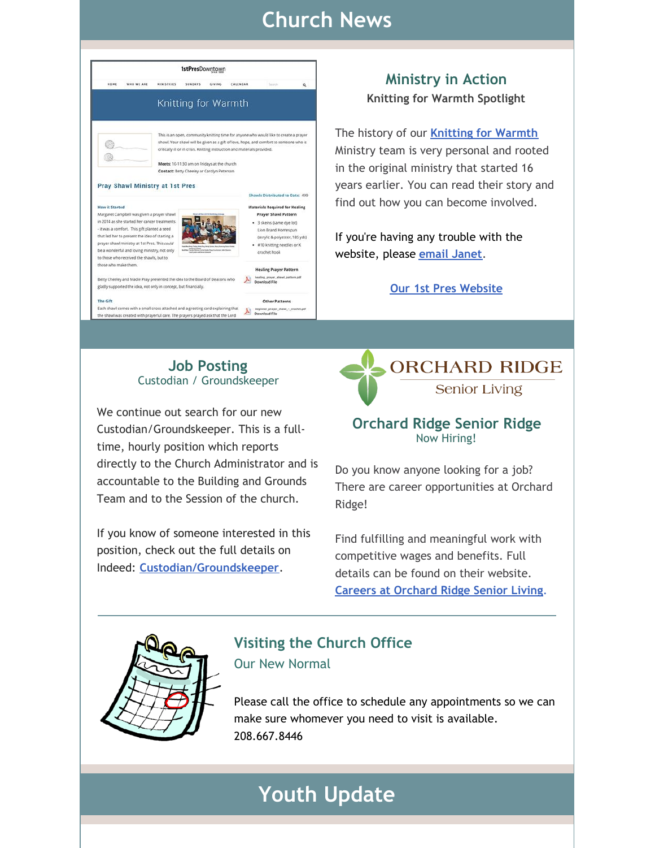# **Church News**



**Ministry in Action Knitting for Warmth Spotlight**

The history of our **[Knitting](https://www.1stpresdowntown.org/knitting-for-warmth.html) for Warmth** Ministry team is very personal and rooted in the original ministry that started 16 years earlier. You can read their story and find out how you can become involved.

If you're having any trouble with the website, please **email [Janet](mailto:janet@1stpresdowntown.org)**.

**Our 1st Pres [Website](http://www.1stpresdowntown.org/)**

### **Job Posting** Custodian / Groundskeeper

Each shawl comes with a small cross attached and a greeting card explaining that  $\Delta$  beginning prayer award - or the shawl was created with prayerful care. The prayers payed ask that the Lord  $\Delta$  Download File

We continue out search for our new Custodian/Groundskeeper. This is a fulltime, hourly position which reports directly to the Church Administrator and is accountable to the Building and Grounds Team and to the Session of the church.

If you know of someone interested in this position, check out the full details on Indeed: **[Custodian/Groundskeeper](https://www.indeed.com/job/custodiangroundskeeper-1713db722b958251)**.



### **Orchard Ridge Senior Ridge** Now Hiring!

Do you know anyone looking for a job? There are career opportunities at Orchard Ridge!

Find fulfilling and meaningful work with competitive wages and benefits. Full details can be found on their website. **Careers at [Orchard](http://www.theorchardcda.org/careers/) Ridge Senior Living**.



## **Visiting the Church Office** Our New Normal

Please call the office to schedule any appointments so we can make sure whomever you need to visit is available. 208.667.8446

# **Youth Update**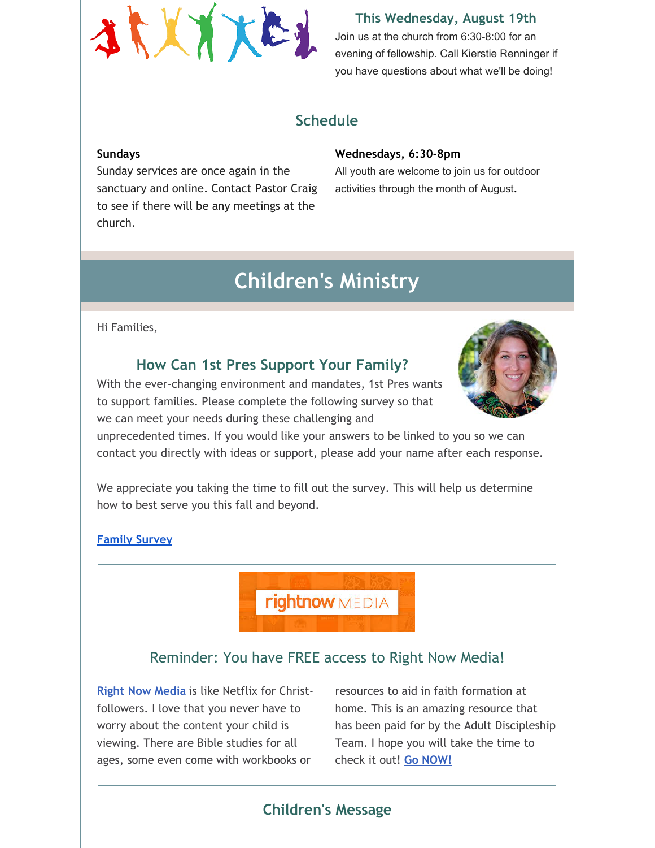

#### **This Wednesday, August 19th**

Join us at the church from 6:30-8:00 for an evening of fellowship. Call Kierstie Renninger if you have questions about what we'll be doing!

## **Schedule**

#### **Sundays**

Sunday services are once again in the sanctuary and online. Contact Pastor Craig to see if there will be any meetings at the church.

#### **Wednesdays, 6:30-8pm**

All youth are welcome to join us for outdoor activities through the month of August.

# **Children's Ministry**

#### Hi Families,

## **How Can 1st Pres Support Your Family?**

With the ever-changing environment and mandates, 1st Pres wants to support families. Please complete the following survey so that we can meet your needs during these challenging and



unprecedented times. If you would like your answers to be linked to you so we can contact you directly with ideas or support, please add your name after each response.

We appreciate you taking the time to fill out the survey. This will help us determine how to best serve you this fall and beyond.

#### **[Family](https://docs.google.com/forms/d/e/1FAIpQLSd2ELuDpc4K0unD6DbI_Zselt3x2mwG6gORtmSTSkgKr-VQVw/viewform?usp=sf_link) Survey**

**rightnow** MEDIA

## Reminder: You have FREE access to Right Now Media!

**Right Now [Media](https://www.rightnowmedia.org/Account/Invite/FirstPresDowntown)** is like Netflix for Christfollowers. I love that you never have to worry about the content your child is viewing. There are Bible studies for all ages, some even come with workbooks or

resources to aid in faith formation at home. This is an amazing resource that has been paid for by the Adult Discipleship Team. I hope you will take the time to check it out! **Go [NOW!](https://www.rightnowmedia.org/Account/Invite/FirstPresDowntown)**

## **Children's Message**